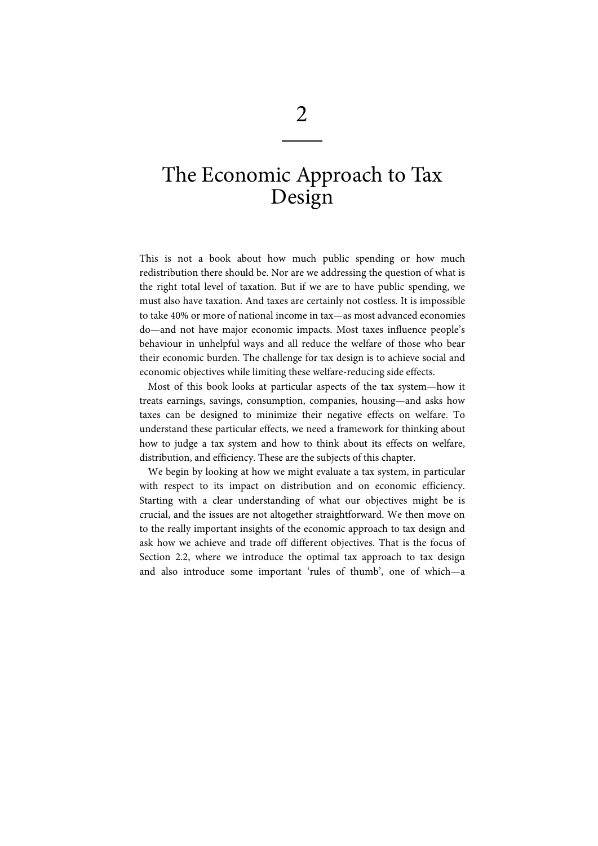Mmmm

# The Economic Approach to Tax Design

This is not a book about how much public spending or how much redistribution there should be. Nor are we addressing the question of what is the right total level of taxation. But if we are to have public spending, we must also have taxation. And taxes are certainly not costless. It is impossible to take 40% or more of national income in tax—as most advanced economies do—and not have major economic impacts. Most taxes influence people's behaviour in unhelpful ways and all reduce the welfare of those who bear their economic burden. The challenge for tax design is to achieve social and economic objectives while limiting these welfare-reducing side effects.

Most of this book looks at particular aspects of the tax system—how it treats earnings, savings, consumption, companies, housing—and asks how taxes can be designed to minimize their negative effects on welfare. To understand these particular effects, we need a framework for thinking about how to judge a tax system and how to think about its effects on welfare, distribution, and efficiency. These are the subjects of this chapter.

We begin by looking at how we might evaluate a tax system, in particular with respect to its impact on distribution and on economic efficiency. Starting with a clear understanding of what our objectives might be is crucial, and the issues are not altogether straightforward. We then move on to the really important insights of the economic approach to tax design and ask how we achieve and trade off different objectives. That is the focus of Section 2.2, where we introduce the optimal tax approach to tax design and also introduce some important 'rules of thumb', one of which—a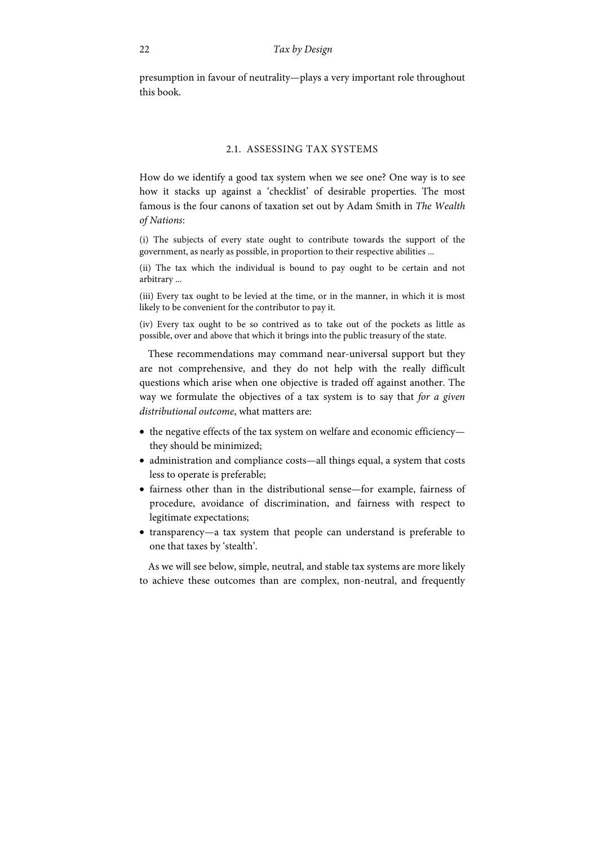presumption in favour of neutrality—plays a very important role throughout this book.

# 2.1. ASSESSING TAX SYSTEMS

How do we identify a good tax system when we see one? One way is to see how it stacks up against a 'checklist' of desirable properties. The most famous is the four canons of taxation set out by Adam Smith in The Wealth of Nations:

(i) The subjects of every state ought to contribute towards the support of the government, as nearly as possible, in proportion to their respective abilities ...

(ii) The tax which the individual is bound to pay ought to be certain and not arbitrary ...

(iii) Every tax ought to be levied at the time, or in the manner, in which it is most likely to be convenient for the contributor to pay it.

(iv) Every tax ought to be so contrived as to take out of the pockets as little as possible, over and above that which it brings into the public treasury of the state.

These recommendations may command near-universal support but they are not comprehensive, and they do not help with the really difficult questions which arise when one objective is traded off against another. The way we formulate the objectives of a tax system is to say that for a given distributional outcome, what matters are:

- the negative effects of the tax system on welfare and economic efficiency they should be minimized;
- administration and compliance costs—all things equal, a system that costs less to operate is preferable;
- fairness other than in the distributional sense—for example, fairness of procedure, avoidance of discrimination, and fairness with respect to legitimate expectations;
- transparency—a tax system that people can understand is preferable to one that taxes by 'stealth'.

As we will see below, simple, neutral, and stable tax systems are more likely to achieve these outcomes than are complex, non-neutral, and frequently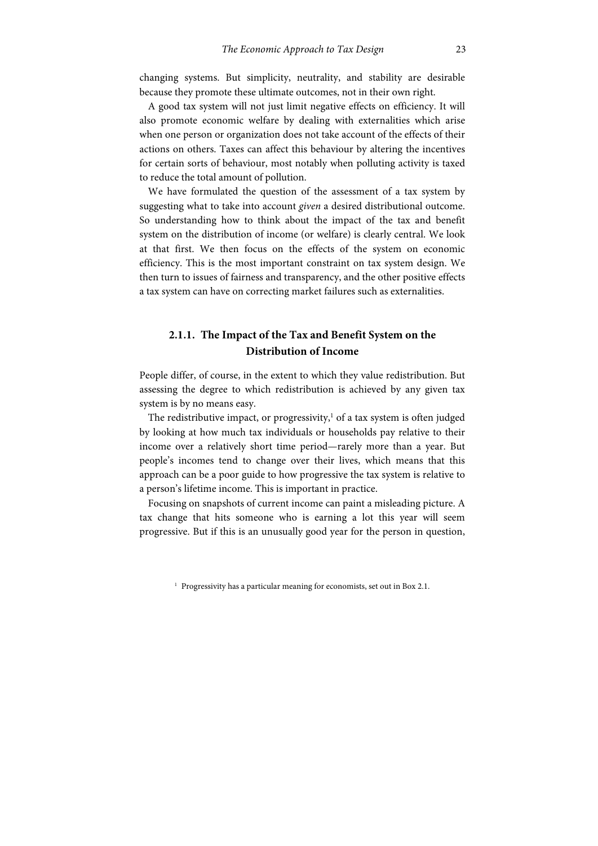changing systems. But simplicity, neutrality, and stability are desirable because they promote these ultimate outcomes, not in their own right.

A good tax system will not just limit negative effects on efficiency. It will also promote economic welfare by dealing with externalities which arise when one person or organization does not take account of the effects of their actions on others. Taxes can affect this behaviour by altering the incentives for certain sorts of behaviour, most notably when polluting activity is taxed to reduce the total amount of pollution.

We have formulated the question of the assessment of a tax system by suggesting what to take into account given a desired distributional outcome. So understanding how to think about the impact of the tax and benefit system on the distribution of income (or welfare) is clearly central. We look at that first. We then focus on the effects of the system on economic efficiency. This is the most important constraint on tax system design. We then turn to issues of fairness and transparency, and the other positive effects a tax system can have on correcting market failures such as externalities.

# **2.1.1. The Impact of the Tax and Benefit System on the Distribution of Income**

People differ, of course, in the extent to which they value redistribution. But assessing the degree to which redistribution is achieved by any given tax system is by no means easy.

The redistributive impact, or progressivity, $1$  of a tax system is often judged by looking at how much tax individuals or households pay relative to their income over a relatively short time period—rarely more than a year. But people's incomes tend to change over their lives, which means that this approach can be a poor guide to how progressive the tax system is relative to a person's lifetime income. This is important in practice.

Focusing on snapshots of current income can paint a misleading picture. A tax change that hits someone who is earning a lot this year will seem progressive. But if this is an unusually good year for the person in question,

<sup>&</sup>lt;sup>1</sup> Progressivity has a particular meaning for economists, set out in Box 2.1.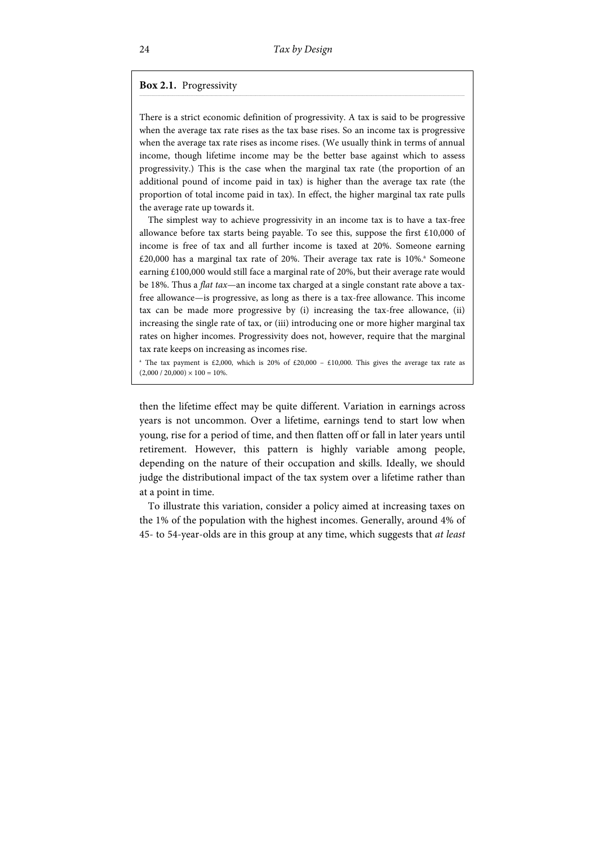#### **Box 2.1.** Progressivity

There is a strict economic definition of progressivity. A tax is said to be progressive when the average tax rate rises as the tax base rises. So an income tax is progressive when the average tax rate rises as income rises. (We usually think in terms of annual income, though lifetime income may be the better base against which to assess progressivity.) This is the case when the marginal tax rate (the proportion of an additional pound of income paid in tax) is higher than the average tax rate (the proportion of total income paid in tax). In effect, the higher marginal tax rate pulls the average rate up towards it.

The simplest way to achieve progressivity in an income tax is to have a tax-free allowance before tax starts being payable. To see this, suppose the first  $£10,000$  of income is free of tax and all further income is taxed at 20%. Someone earning £20,000 has a marginal tax rate of 20%. Their average tax rate is 10%.<sup>a</sup> Someone earning £100,000 would still face a marginal rate of 20%, but their average rate would be 18%. Thus a *flat tax*—an income tax charged at a single constant rate above a taxfree allowance—is progressive, as long as there is a tax-free allowance. This income tax can be made more progressive by (i) increasing the tax-free allowance, (ii) increasing the single rate of tax, or (iii) introducing one or more higher marginal tax rates on higher incomes. Progressivity does not, however, require that the marginal tax rate keeps on increasing as incomes rise.

<sup>a</sup> The tax payment is £2,000, which is 20% of £20,000 – £10,000. This gives the average tax rate as  $(2,000 / 20,000) \times 100 = 10\%$ .

then the lifetime effect may be quite different. Variation in earnings across years is not uncommon. Over a lifetime, earnings tend to start low when young, rise for a period of time, and then flatten off or fall in later years until retirement. However, this pattern is highly variable among people, depending on the nature of their occupation and skills. Ideally, we should judge the distributional impact of the tax system over a lifetime rather than at a point in time.

To illustrate this variation, consider a policy aimed at increasing taxes on the 1% of the population with the highest incomes. Generally, around 4% of 45- to 54-year-olds are in this group at any time, which suggests that at least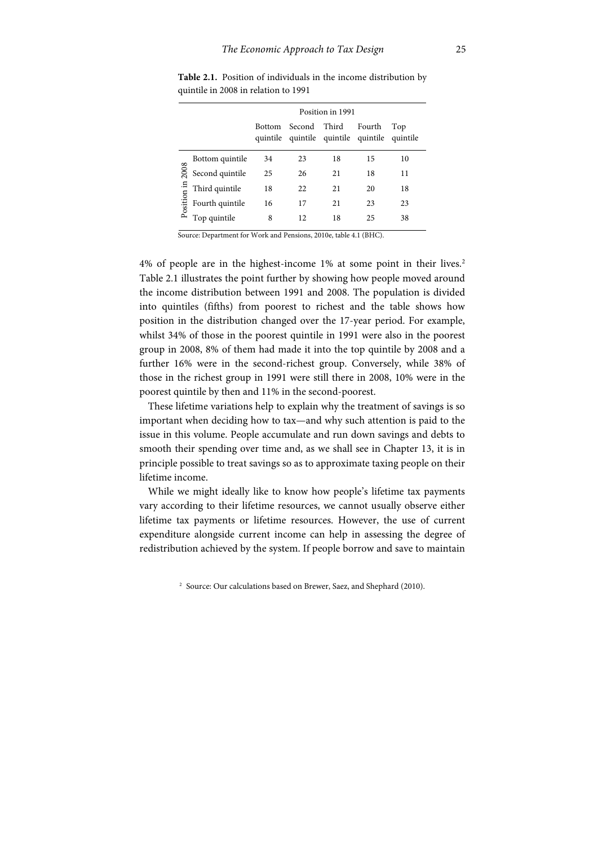|                     |                 | Position in 1991 |        |                                                       |        |     |
|---------------------|-----------------|------------------|--------|-------------------------------------------------------|--------|-----|
|                     |                 | <b>Bottom</b>    | Second | Third<br>quintile quintile quintile quintile quintile | Fourth | Top |
| 2008<br>Position in | Bottom quintile | 34               | 23     | 18                                                    | 15     | 10  |
|                     | Second quintile | 25               | 26     | 21                                                    | 18     | 11  |
|                     | Third quintile  | 18               | 22     | 21                                                    | 20     | 18  |
|                     | Fourth quintile | 16               | 17     | 21                                                    | 23     | 23  |
|                     | Top quintile    | 8                | 12     | 18                                                    | 25     | 38  |
|                     |                 |                  |        |                                                       |        |     |

**Table 2.1.** Position of individuals in the income distribution by quintile in 2008 in relation to 1991

Source: Department for Work and Pensions, 2010e, table 4.1 (BHC).

4% of people are in the highest-income 1% at some point in their lives.<sup>2</sup> Table 2.1 illustrates the point further by showing how people moved around the income distribution between 1991 and 2008. The population is divided into quintiles (fifths) from poorest to richest and the table shows how position in the distribution changed over the 17-year period. For example, whilst 34% of those in the poorest quintile in 1991 were also in the poorest group in 2008, 8% of them had made it into the top quintile by 2008 and a further 16% were in the second-richest group. Conversely, while 38% of those in the richest group in 1991 were still there in 2008, 10% were in the poorest quintile by then and 11% in the second-poorest.

These lifetime variations help to explain why the treatment of savings is so important when deciding how to tax—and why such attention is paid to the issue in this volume. People accumulate and run down savings and debts to smooth their spending over time and, as we shall see in Chapter 13, it is in principle possible to treat savings so as to approximate taxing people on their lifetime income.

While we might ideally like to know how people's lifetime tax payments vary according to their lifetime resources, we cannot usually observe either lifetime tax payments or lifetime resources. However, the use of current expenditure alongside current income can help in assessing the degree of redistribution achieved by the system. If people borrow and save to maintain

<sup>&</sup>lt;sup>2</sup> Source: Our calculations based on Brewer, Saez, and Shephard (2010).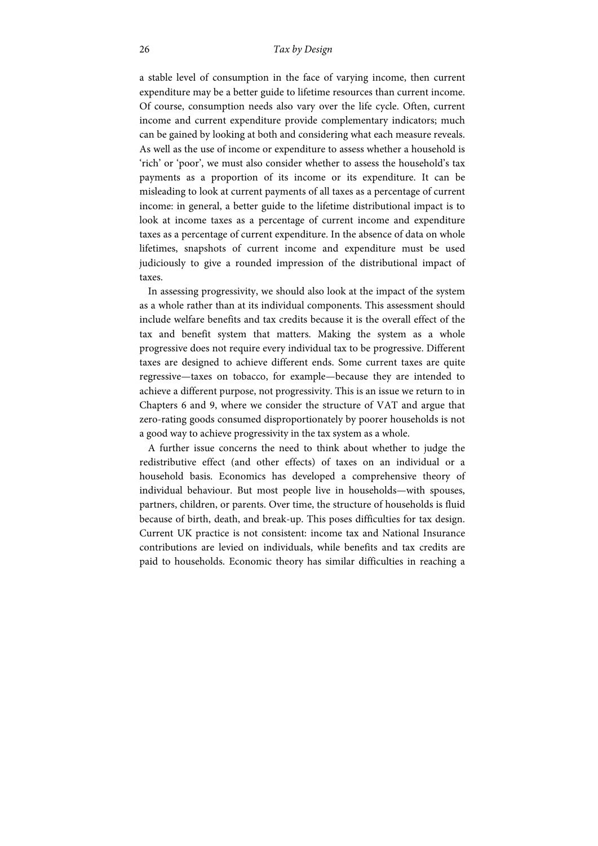a stable level of consumption in the face of varying income, then current expenditure may be a better guide to lifetime resources than current income. Of course, consumption needs also vary over the life cycle. Often, current income and current expenditure provide complementary indicators; much can be gained by looking at both and considering what each measure reveals. As well as the use of income or expenditure to assess whether a household is 'rich' or 'poor', we must also consider whether to assess the household's tax payments as a proportion of its income or its expenditure. It can be misleading to look at current payments of all taxes as a percentage of current income: in general, a better guide to the lifetime distributional impact is to look at income taxes as a percentage of current income and expenditure taxes as a percentage of current expenditure. In the absence of data on whole lifetimes, snapshots of current income and expenditure must be used judiciously to give a rounded impression of the distributional impact of taxes.

In assessing progressivity, we should also look at the impact of the system as a whole rather than at its individual components. This assessment should include welfare benefits and tax credits because it is the overall effect of the tax and benefit system that matters. Making the system as a whole progressive does not require every individual tax to be progressive. Different taxes are designed to achieve different ends. Some current taxes are quite regressive—taxes on tobacco, for example—because they are intended to achieve a different purpose, not progressivity. This is an issue we return to in Chapters 6 and 9, where we consider the structure of VAT and argue that zero-rating goods consumed disproportionately by poorer households is not a good way to achieve progressivity in the tax system as a whole.

A further issue concerns the need to think about whether to judge the redistributive effect (and other effects) of taxes on an individual or a household basis. Economics has developed a comprehensive theory of individual behaviour. But most people live in households—with spouses, partners, children, or parents. Over time, the structure of households is fluid because of birth, death, and break-up. This poses difficulties for tax design. Current UK practice is not consistent: income tax and National Insurance contributions are levied on individuals, while benefits and tax credits are paid to households. Economic theory has similar difficulties in reaching a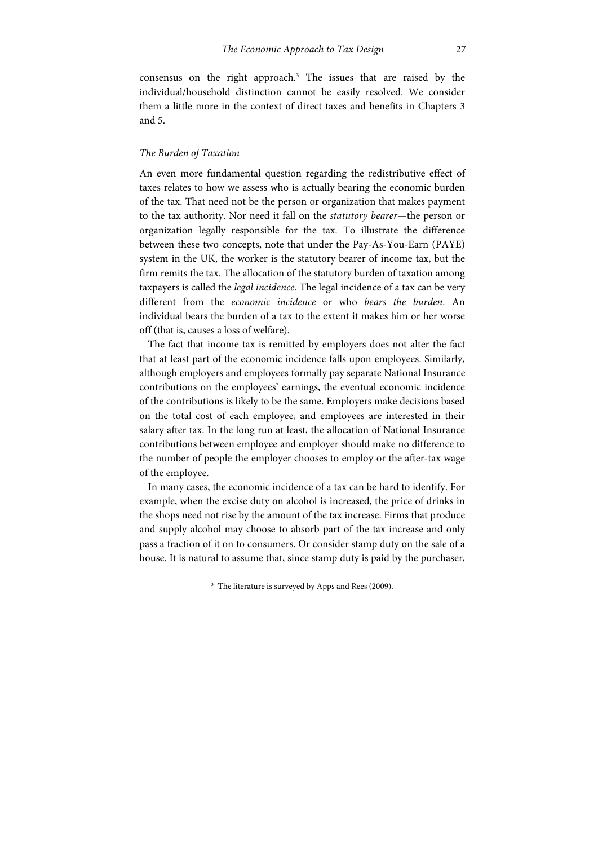consensus on the right approach.<sup>3</sup> The issues that are raised by the individual/household distinction cannot be easily resolved. We consider them a little more in the context of direct taxes and benefits in Chapters 3 and 5.

# The Burden of Taxation

An even more fundamental question regarding the redistributive effect of taxes relates to how we assess who is actually bearing the economic burden of the tax. That need not be the person or organization that makes payment to the tax authority. Nor need it fall on the statutory bearer—the person or organization legally responsible for the tax. To illustrate the difference between these two concepts, note that under the Pay-As-You-Earn (PAYE) system in the UK, the worker is the statutory bearer of income tax, but the firm remits the tax. The allocation of the statutory burden of taxation among taxpayers is called the legal incidence. The legal incidence of a tax can be very different from the economic incidence or who bears the burden. An individual bears the burden of a tax to the extent it makes him or her worse off (that is, causes a loss of welfare).

The fact that income tax is remitted by employers does not alter the fact that at least part of the economic incidence falls upon employees. Similarly, although employers and employees formally pay separate National Insurance contributions on the employees' earnings, the eventual economic incidence of the contributions is likely to be the same. Employers make decisions based on the total cost of each employee, and employees are interested in their salary after tax. In the long run at least, the allocation of National Insurance contributions between employee and employer should make no difference to the number of people the employer chooses to employ or the after-tax wage of the employee.

In many cases, the economic incidence of a tax can be hard to identify. For example, when the excise duty on alcohol is increased, the price of drinks in the shops need not rise by the amount of the tax increase. Firms that produce and supply alcohol may choose to absorb part of the tax increase and only pass a fraction of it on to consumers. Or consider stamp duty on the sale of a house. It is natural to assume that, since stamp duty is paid by the purchaser,

<sup>3</sup> The literature is surveyed by Apps and Rees (2009).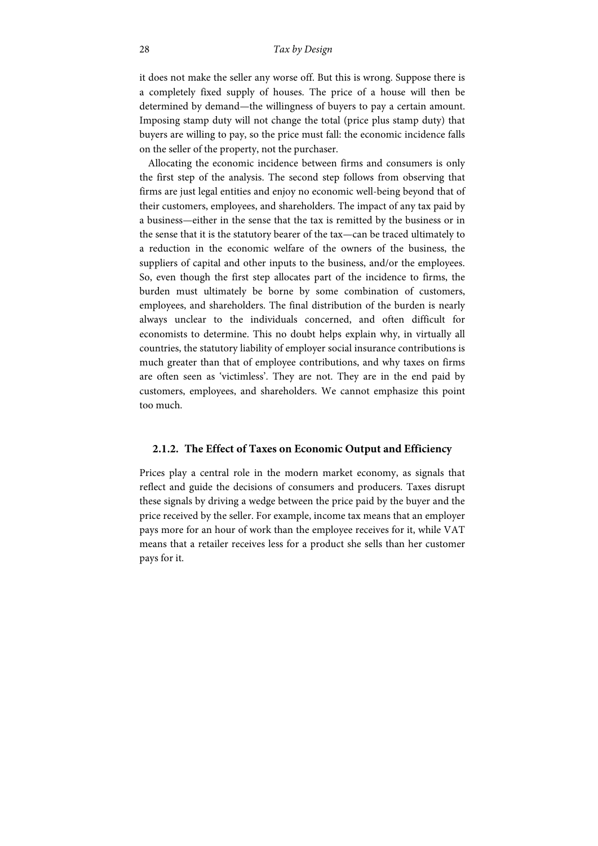it does not make the seller any worse off. But this is wrong. Suppose there is a completely fixed supply of houses. The price of a house will then be determined by demand—the willingness of buyers to pay a certain amount. Imposing stamp duty will not change the total (price plus stamp duty) that buyers are willing to pay, so the price must fall: the economic incidence falls on the seller of the property, not the purchaser.

Allocating the economic incidence between firms and consumers is only the first step of the analysis. The second step follows from observing that firms are just legal entities and enjoy no economic well-being beyond that of their customers, employees, and shareholders. The impact of any tax paid by a business—either in the sense that the tax is remitted by the business or in the sense that it is the statutory bearer of the tax—can be traced ultimately to a reduction in the economic welfare of the owners of the business, the suppliers of capital and other inputs to the business, and/or the employees. So, even though the first step allocates part of the incidence to firms, the burden must ultimately be borne by some combination of customers, employees, and shareholders. The final distribution of the burden is nearly always unclear to the individuals concerned, and often difficult for economists to determine. This no doubt helps explain why, in virtually all countries, the statutory liability of employer social insurance contributions is much greater than that of employee contributions, and why taxes on firms are often seen as 'victimless'. They are not. They are in the end paid by customers, employees, and shareholders. We cannot emphasize this point too much.

# **2.1.2. The Effect of Taxes on Economic Output and Efficiency**

Prices play a central role in the modern market economy, as signals that reflect and guide the decisions of consumers and producers. Taxes disrupt these signals by driving a wedge between the price paid by the buyer and the price received by the seller. For example, income tax means that an employer pays more for an hour of work than the employee receives for it, while VAT means that a retailer receives less for a product she sells than her customer pays for it.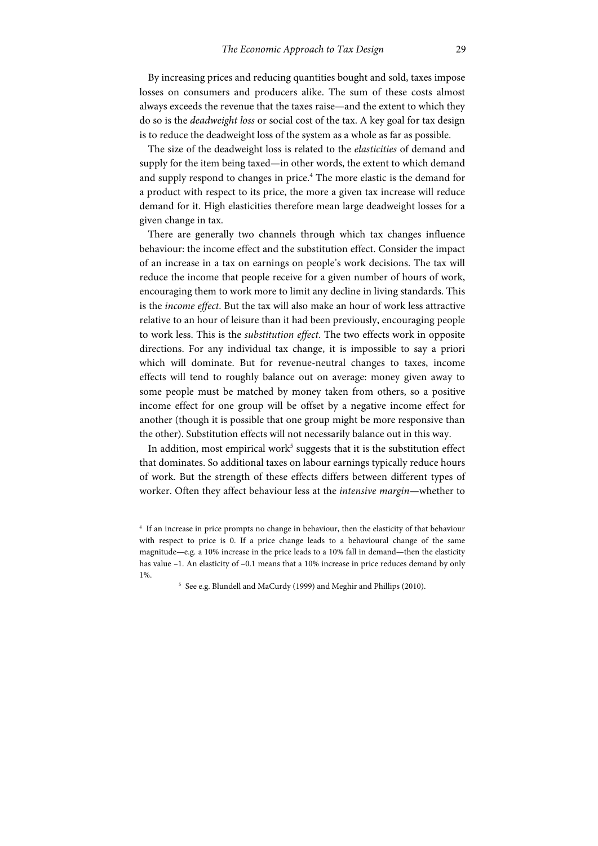By increasing prices and reducing quantities bought and sold, taxes impose losses on consumers and producers alike. The sum of these costs almost always exceeds the revenue that the taxes raise—and the extent to which they do so is the deadweight loss or social cost of the tax. A key goal for tax design is to reduce the deadweight loss of the system as a whole as far as possible.

The size of the deadweight loss is related to the elasticities of demand and supply for the item being taxed—in other words, the extent to which demand and supply respond to changes in price.<sup>4</sup> The more elastic is the demand for a product with respect to its price, the more a given tax increase will reduce demand for it. High elasticities therefore mean large deadweight losses for a given change in tax.

There are generally two channels through which tax changes influence behaviour: the income effect and the substitution effect. Consider the impact of an increase in a tax on earnings on people's work decisions. The tax will reduce the income that people receive for a given number of hours of work, encouraging them to work more to limit any decline in living standards. This is the income effect. But the tax will also make an hour of work less attractive relative to an hour of leisure than it had been previously, encouraging people to work less. This is the substitution effect. The two effects work in opposite directions. For any individual tax change, it is impossible to say a priori which will dominate. But for revenue-neutral changes to taxes, income effects will tend to roughly balance out on average: money given away to some people must be matched by money taken from others, so a positive income effect for one group will be offset by a negative income effect for another (though it is possible that one group might be more responsive than the other). Substitution effects will not necessarily balance out in this way.

In addition, most empirical work<sup>5</sup> suggests that it is the substitution effect that dominates. So additional taxes on labour earnings typically reduce hours of work. But the strength of these effects differs between different types of worker. Often they affect behaviour less at the intensive margin—whether to

<sup>4</sup> If an increase in price prompts no change in behaviour, then the elasticity of that behaviour with respect to price is 0. If a price change leads to a behavioural change of the same magnitude—e.g. a 10% increase in the price leads to a 10% fall in demand—then the elasticity has value –1. An elasticity of –0.1 means that a 10% increase in price reduces demand by only 1%.  $\blacksquare$ <br><sup>5</sup> See e.g. Blundell and MaCurdy (1999) and Meghir and Phillips (2010).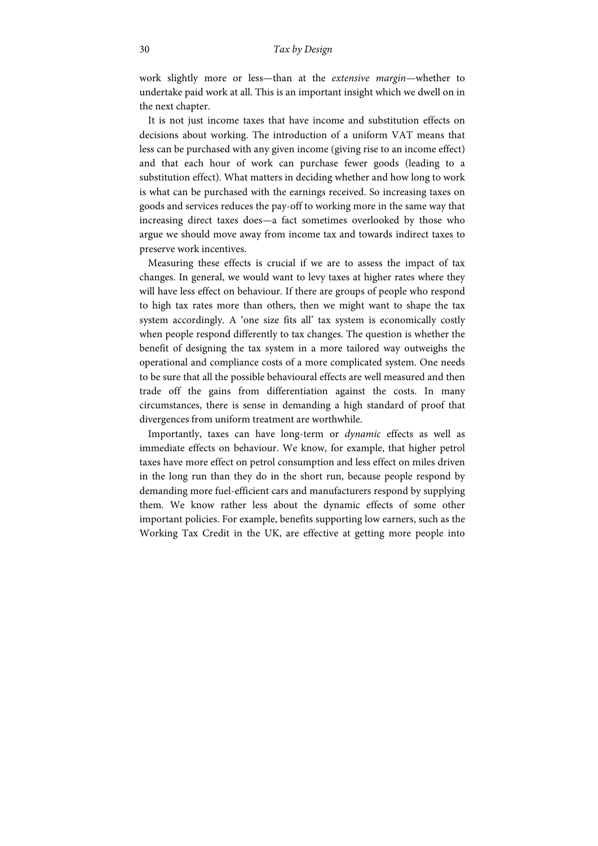work slightly more or less—than at the extensive margin—whether to undertake paid work at all. This is an important insight which we dwell on in the next chapter.

It is not just income taxes that have income and substitution effects on decisions about working. The introduction of a uniform VAT means that less can be purchased with any given income (giving rise to an income effect) and that each hour of work can purchase fewer goods (leading to a substitution effect). What matters in deciding whether and how long to work is what can be purchased with the earnings received. So increasing taxes on goods and services reduces the pay-off to working more in the same way that increasing direct taxes does—a fact sometimes overlooked by those who argue we should move away from income tax and towards indirect taxes to preserve work incentives.

Measuring these effects is crucial if we are to assess the impact of tax changes. In general, we would want to levy taxes at higher rates where they will have less effect on behaviour. If there are groups of people who respond to high tax rates more than others, then we might want to shape the tax system accordingly. A 'one size fits all' tax system is economically costly when people respond differently to tax changes. The question is whether the benefit of designing the tax system in a more tailored way outweighs the operational and compliance costs of a more complicated system. One needs to be sure that all the possible behavioural effects are well measured and then trade off the gains from differentiation against the costs. In many circumstances, there is sense in demanding a high standard of proof that divergences from uniform treatment are worthwhile.

Importantly, taxes can have long-term or dynamic effects as well as immediate effects on behaviour. We know, for example, that higher petrol taxes have more effect on petrol consumption and less effect on miles driven in the long run than they do in the short run, because people respond by demanding more fuel-efficient cars and manufacturers respond by supplying them. We know rather less about the dynamic effects of some other important policies. For example, benefits supporting low earners, such as the Working Tax Credit in the UK, are effective at getting more people into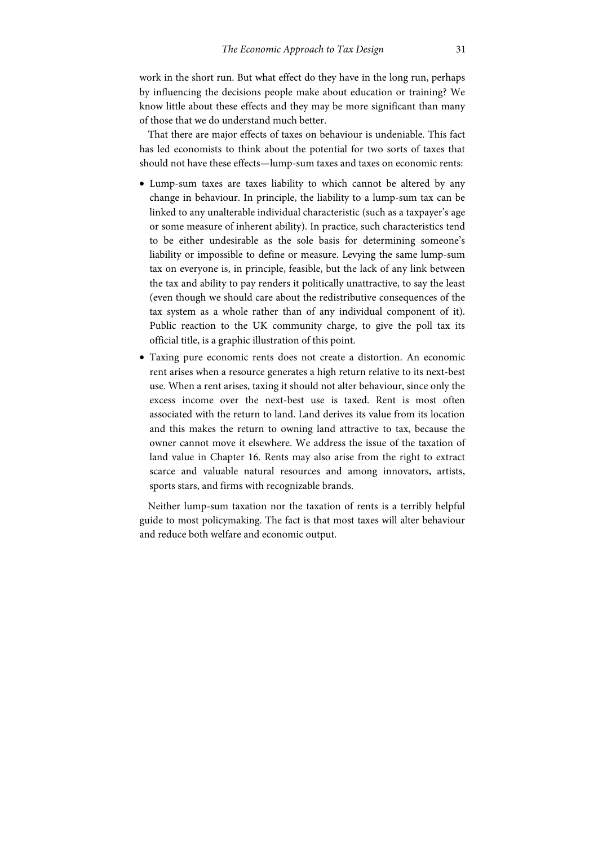work in the short run. But what effect do they have in the long run, perhaps by influencing the decisions people make about education or training? We know little about these effects and they may be more significant than many of those that we do understand much better.

That there are major effects of taxes on behaviour is undeniable. This fact has led economists to think about the potential for two sorts of taxes that should not have these effects—lump-sum taxes and taxes on economic rents:

- Lump-sum taxes are taxes liability to which cannot be altered by any change in behaviour. In principle, the liability to a lump-sum tax can be linked to any unalterable individual characteristic (such as a taxpayer's age or some measure of inherent ability). In practice, such characteristics tend to be either undesirable as the sole basis for determining someone's liability or impossible to define or measure. Levying the same lump-sum tax on everyone is, in principle, feasible, but the lack of any link between the tax and ability to pay renders it politically unattractive, to say the least (even though we should care about the redistributive consequences of the tax system as a whole rather than of any individual component of it). Public reaction to the UK community charge, to give the poll tax its official title, is a graphic illustration of this point.
- Taxing pure economic rents does not create a distortion. An economic rent arises when a resource generates a high return relative to its next-best use. When a rent arises, taxing it should not alter behaviour, since only the excess income over the next-best use is taxed. Rent is most often associated with the return to land. Land derives its value from its location and this makes the return to owning land attractive to tax, because the owner cannot move it elsewhere. We address the issue of the taxation of land value in Chapter 16. Rents may also arise from the right to extract scarce and valuable natural resources and among innovators, artists, sports stars, and firms with recognizable brands.

Neither lump-sum taxation nor the taxation of rents is a terribly helpful guide to most policymaking. The fact is that most taxes will alter behaviour and reduce both welfare and economic output.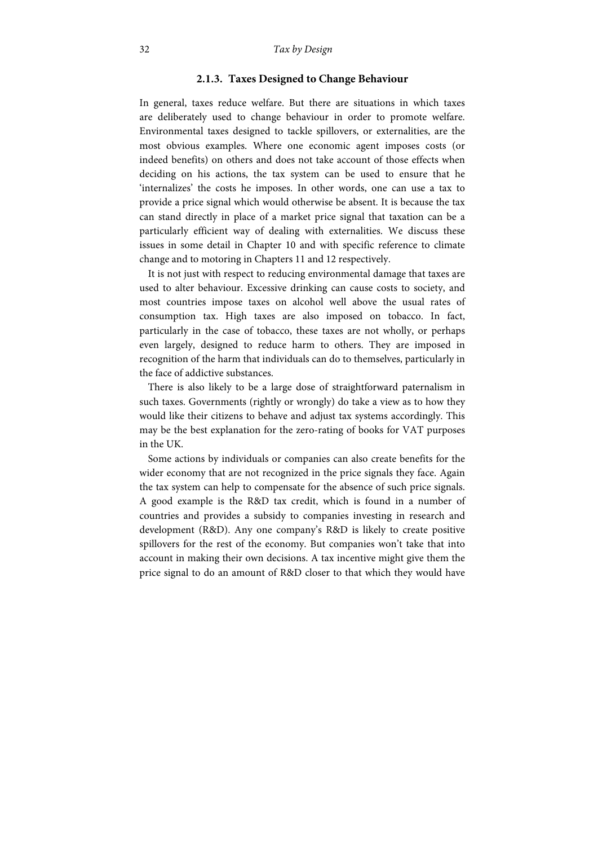# **2.1.3. Taxes Designed to Change Behaviour**

In general, taxes reduce welfare. But there are situations in which taxes are deliberately used to change behaviour in order to promote welfare. Environmental taxes designed to tackle spillovers, or externalities, are the most obvious examples. Where one economic agent imposes costs (or indeed benefits) on others and does not take account of those effects when deciding on his actions, the tax system can be used to ensure that he 'internalizes' the costs he imposes. In other words, one can use a tax to provide a price signal which would otherwise be absent. It is because the tax can stand directly in place of a market price signal that taxation can be a particularly efficient way of dealing with externalities. We discuss these issues in some detail in Chapter 10 and with specific reference to climate change and to motoring in Chapters 11 and 12 respectively.

It is not just with respect to reducing environmental damage that taxes are used to alter behaviour. Excessive drinking can cause costs to society, and most countries impose taxes on alcohol well above the usual rates of consumption tax. High taxes are also imposed on tobacco. In fact, particularly in the case of tobacco, these taxes are not wholly, or perhaps even largely, designed to reduce harm to others. They are imposed in recognition of the harm that individuals can do to themselves, particularly in the face of addictive substances.

There is also likely to be a large dose of straightforward paternalism in such taxes. Governments (rightly or wrongly) do take a view as to how they would like their citizens to behave and adjust tax systems accordingly. This may be the best explanation for the zero-rating of books for VAT purposes in the UK.

Some actions by individuals or companies can also create benefits for the wider economy that are not recognized in the price signals they face. Again the tax system can help to compensate for the absence of such price signals. A good example is the R&D tax credit, which is found in a number of countries and provides a subsidy to companies investing in research and development (R&D). Any one company's R&D is likely to create positive spillovers for the rest of the economy. But companies won't take that into account in making their own decisions. A tax incentive might give them the price signal to do an amount of R&D closer to that which they would have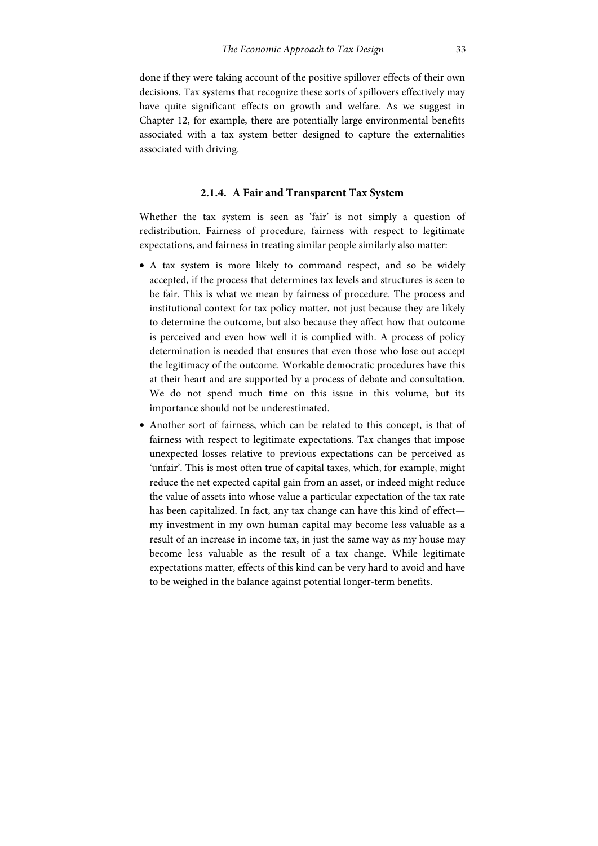done if they were taking account of the positive spillover effects of their own decisions. Tax systems that recognize these sorts of spillovers effectively may have quite significant effects on growth and welfare. As we suggest in Chapter 12, for example, there are potentially large environmental benefits associated with a tax system better designed to capture the externalities associated with driving.

# **2.1.4. A Fair and Transparent Tax System**

Whether the tax system is seen as 'fair' is not simply a question of redistribution. Fairness of procedure, fairness with respect to legitimate expectations, and fairness in treating similar people similarly also matter:

- A tax system is more likely to command respect, and so be widely accepted, if the process that determines tax levels and structures is seen to be fair. This is what we mean by fairness of procedure. The process and institutional context for tax policy matter, not just because they are likely to determine the outcome, but also because they affect how that outcome is perceived and even how well it is complied with. A process of policy determination is needed that ensures that even those who lose out accept the legitimacy of the outcome. Workable democratic procedures have this at their heart and are supported by a process of debate and consultation. We do not spend much time on this issue in this volume, but its importance should not be underestimated.
- Another sort of fairness, which can be related to this concept, is that of fairness with respect to legitimate expectations. Tax changes that impose unexpected losses relative to previous expectations can be perceived as 'unfair'. This is most often true of capital taxes, which, for example, might reduce the net expected capital gain from an asset, or indeed might reduce the value of assets into whose value a particular expectation of the tax rate has been capitalized. In fact, any tax change can have this kind of effect my investment in my own human capital may become less valuable as a result of an increase in income tax, in just the same way as my house may become less valuable as the result of a tax change. While legitimate expectations matter, effects of this kind can be very hard to avoid and have to be weighed in the balance against potential longer-term benefits.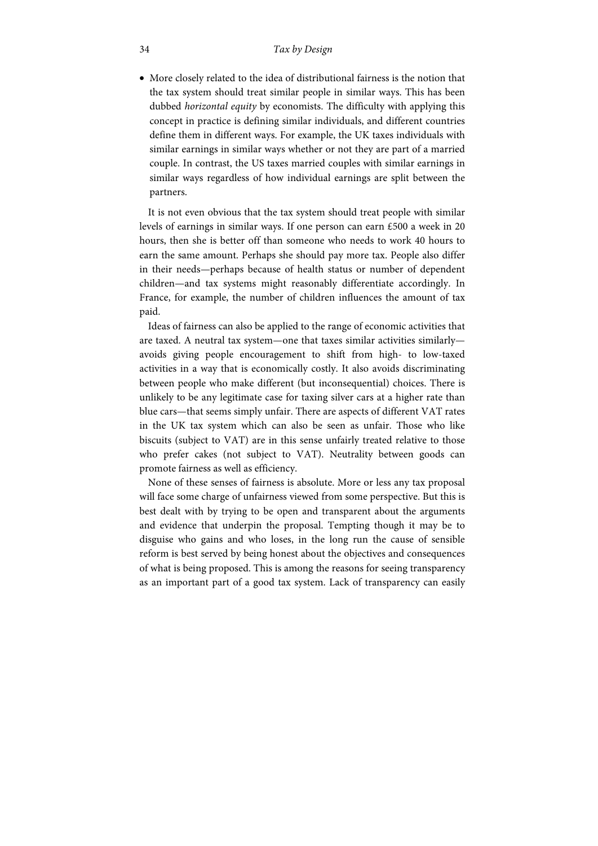• More closely related to the idea of distributional fairness is the notion that the tax system should treat similar people in similar ways. This has been dubbed horizontal equity by economists. The difficulty with applying this concept in practice is defining similar individuals, and different countries define them in different ways. For example, the UK taxes individuals with similar earnings in similar ways whether or not they are part of a married couple. In contrast, the US taxes married couples with similar earnings in similar ways regardless of how individual earnings are split between the partners.

It is not even obvious that the tax system should treat people with similar levels of earnings in similar ways. If one person can earn £500 a week in 20 hours, then she is better off than someone who needs to work 40 hours to earn the same amount. Perhaps she should pay more tax. People also differ in their needs—perhaps because of health status or number of dependent children—and tax systems might reasonably differentiate accordingly. In France, for example, the number of children influences the amount of tax paid.

Ideas of fairness can also be applied to the range of economic activities that are taxed. A neutral tax system—one that taxes similar activities similarly avoids giving people encouragement to shift from high- to low-taxed activities in a way that is economically costly. It also avoids discriminating between people who make different (but inconsequential) choices. There is unlikely to be any legitimate case for taxing silver cars at a higher rate than blue cars—that seems simply unfair. There are aspects of different VAT rates in the UK tax system which can also be seen as unfair. Those who like biscuits (subject to VAT) are in this sense unfairly treated relative to those who prefer cakes (not subject to VAT). Neutrality between goods can promote fairness as well as efficiency.

None of these senses of fairness is absolute. More or less any tax proposal will face some charge of unfairness viewed from some perspective. But this is best dealt with by trying to be open and transparent about the arguments and evidence that underpin the proposal. Tempting though it may be to disguise who gains and who loses, in the long run the cause of sensible reform is best served by being honest about the objectives and consequences of what is being proposed. This is among the reasons for seeing transparency as an important part of a good tax system. Lack of transparency can easily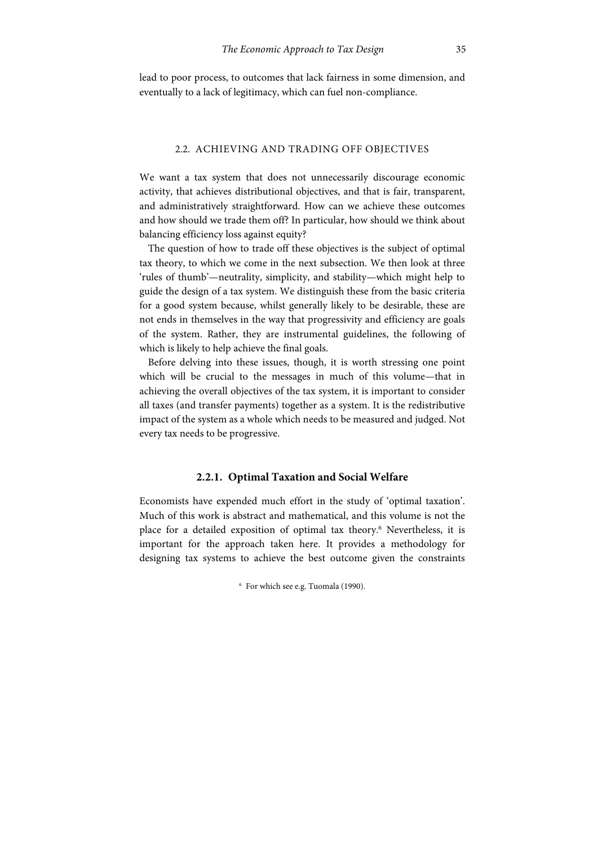lead to poor process, to outcomes that lack fairness in some dimension, and eventually to a lack of legitimacy, which can fuel non-compliance.

#### 2.2. ACHIEVING AND TRADING OFF OBJECTIVES

We want a tax system that does not unnecessarily discourage economic activity, that achieves distributional objectives, and that is fair, transparent, and administratively straightforward. How can we achieve these outcomes and how should we trade them off? In particular, how should we think about balancing efficiency loss against equity?

The question of how to trade off these objectives is the subject of optimal tax theory, to which we come in the next subsection. We then look at three 'rules of thumb'—neutrality, simplicity, and stability—which might help to guide the design of a tax system. We distinguish these from the basic criteria for a good system because, whilst generally likely to be desirable, these are not ends in themselves in the way that progressivity and efficiency are goals of the system. Rather, they are instrumental guidelines, the following of which is likely to help achieve the final goals.

Before delving into these issues, though, it is worth stressing one point which will be crucial to the messages in much of this volume—that in achieving the overall objectives of the tax system, it is important to consider all taxes (and transfer payments) together as a system. It is the redistributive impact of the system as a whole which needs to be measured and judged. Not every tax needs to be progressive.

# **2.2.1. Optimal Taxation and Social Welfare**

Economists have expended much effort in the study of 'optimal taxation'. Much of this work is abstract and mathematical, and this volume is not the place for a detailed exposition of optimal tax theory.<sup>6</sup> Nevertheless, it is important for the approach taken here. It provides a methodology for designing tax systems to achieve the best outcome given the constraints

<sup>6</sup> For which see e.g. Tuomala (1990).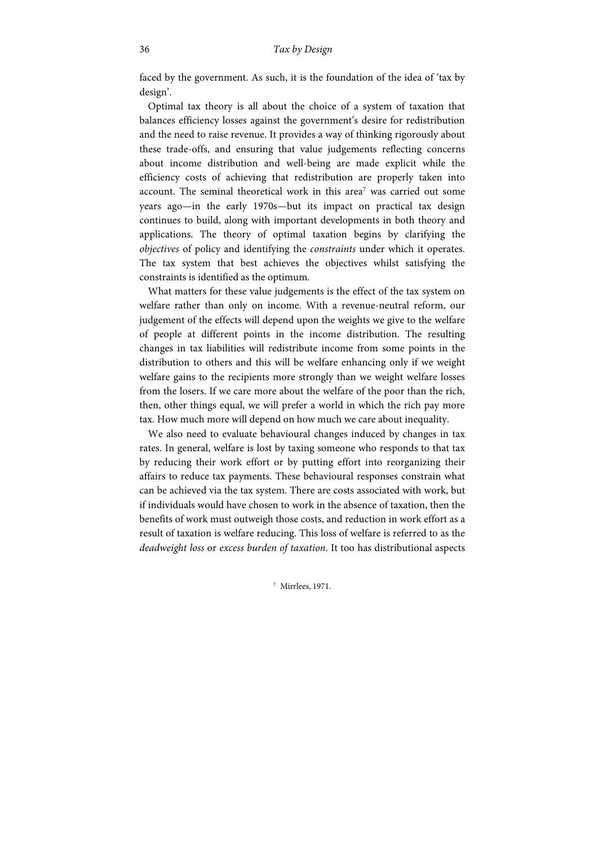faced by the government. As such, it is the foundation of the idea of 'tax by design'.

Optimal tax theory is all about the choice of a system of taxation that balances efficiency losses against the government's desire for redistribution and the need to raise revenue. It provides a way of thinking rigorously about these trade-offs, and ensuring that value judgements reflecting concerns about income distribution and well-being are made explicit while the efficiency costs of achieving that redistribution are properly taken into account. The seminal theoretical work in this area<sup>7</sup> was carried out some years ago—in the early 1970s—but its impact on practical tax design continues to build, along with important developments in both theory and applications. The theory of optimal taxation begins by clarifying the objectives of policy and identifying the constraints under which it operates. The tax system that best achieves the objectives whilst satisfying the constraints is identified as the optimum.

What matters for these value judgements is the effect of the tax system on welfare rather than only on income. With a revenue-neutral reform, our judgement of the effects will depend upon the weights we give to the welfare of people at different points in the income distribution. The resulting changes in tax liabilities will redistribute income from some points in the distribution to others and this will be welfare enhancing only if we weight welfare gains to the recipients more strongly than we weight welfare losses from the losers. If we care more about the welfare of the poor than the rich, then, other things equal, we will prefer a world in which the rich pay more tax. How much more will depend on how much we care about inequality.

We also need to evaluate behavioural changes induced by changes in tax rates. In general, welfare is lost by taxing someone who responds to that tax by reducing their work effort or by putting effort into reorganizing their affairs to reduce tax payments. These behavioural responses constrain what can be achieved via the tax system. There are costs associated with work, but if individuals would have chosen to work in the absence of taxation, then the benefits of work must outweigh those costs, and reduction in work effort as a result of taxation is welfare reducing. This loss of welfare is referred to as the deadweight loss or excess burden of taxation. It too has distributional aspects

<sup>7</sup> Mirrlees, 1971.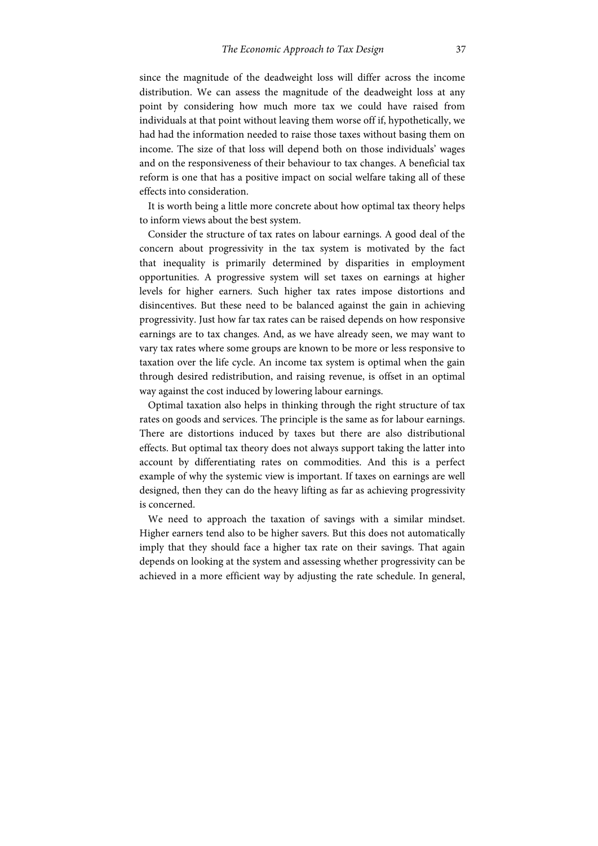since the magnitude of the deadweight loss will differ across the income distribution. We can assess the magnitude of the deadweight loss at any point by considering how much more tax we could have raised from individuals at that point without leaving them worse off if, hypothetically, we had had the information needed to raise those taxes without basing them on income. The size of that loss will depend both on those individuals' wages and on the responsiveness of their behaviour to tax changes. A beneficial tax reform is one that has a positive impact on social welfare taking all of these effects into consideration.

It is worth being a little more concrete about how optimal tax theory helps to inform views about the best system.

Consider the structure of tax rates on labour earnings. A good deal of the concern about progressivity in the tax system is motivated by the fact that inequality is primarily determined by disparities in employment opportunities. A progressive system will set taxes on earnings at higher levels for higher earners. Such higher tax rates impose distortions and disincentives. But these need to be balanced against the gain in achieving progressivity. Just how far tax rates can be raised depends on how responsive earnings are to tax changes. And, as we have already seen, we may want to vary tax rates where some groups are known to be more or less responsive to taxation over the life cycle. An income tax system is optimal when the gain through desired redistribution, and raising revenue, is offset in an optimal way against the cost induced by lowering labour earnings.

Optimal taxation also helps in thinking through the right structure of tax rates on goods and services. The principle is the same as for labour earnings. There are distortions induced by taxes but there are also distributional effects. But optimal tax theory does not always support taking the latter into account by differentiating rates on commodities. And this is a perfect example of why the systemic view is important. If taxes on earnings are well designed, then they can do the heavy lifting as far as achieving progressivity is concerned.

We need to approach the taxation of savings with a similar mindset. Higher earners tend also to be higher savers. But this does not automatically imply that they should face a higher tax rate on their savings. That again depends on looking at the system and assessing whether progressivity can be achieved in a more efficient way by adjusting the rate schedule. In general,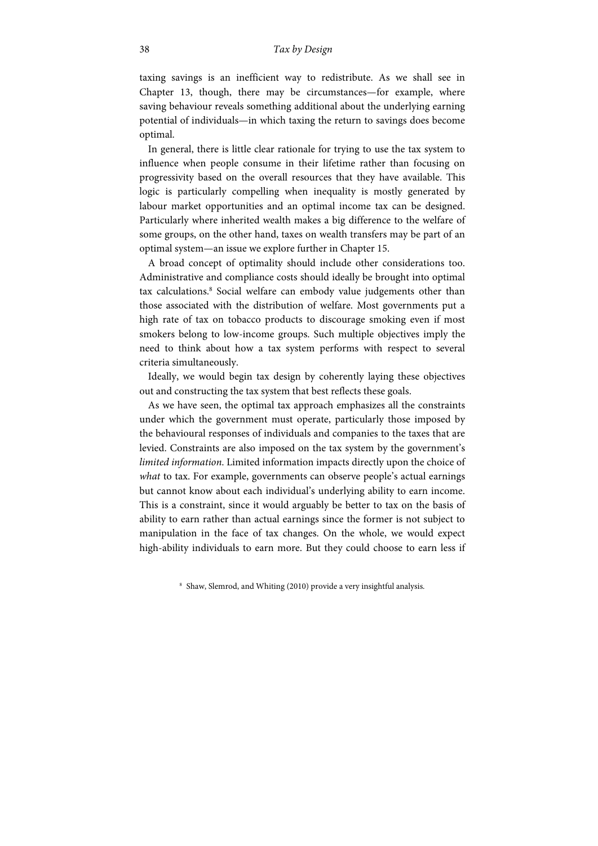taxing savings is an inefficient way to redistribute. As we shall see in Chapter 13, though, there may be circumstances—for example, where saving behaviour reveals something additional about the underlying earning potential of individuals—in which taxing the return to savings does become optimal.

In general, there is little clear rationale for trying to use the tax system to influence when people consume in their lifetime rather than focusing on progressivity based on the overall resources that they have available. This logic is particularly compelling when inequality is mostly generated by labour market opportunities and an optimal income tax can be designed. Particularly where inherited wealth makes a big difference to the welfare of some groups, on the other hand, taxes on wealth transfers may be part of an optimal system—an issue we explore further in Chapter 15.

A broad concept of optimality should include other considerations too. Administrative and compliance costs should ideally be brought into optimal tax calculations.<sup>8</sup> Social welfare can embody value judgements other than those associated with the distribution of welfare. Most governments put a high rate of tax on tobacco products to discourage smoking even if most smokers belong to low-income groups. Such multiple objectives imply the need to think about how a tax system performs with respect to several criteria simultaneously.

Ideally, we would begin tax design by coherently laying these objectives out and constructing the tax system that best reflects these goals.

As we have seen, the optimal tax approach emphasizes all the constraints under which the government must operate, particularly those imposed by the behavioural responses of individuals and companies to the taxes that are levied. Constraints are also imposed on the tax system by the government's limited information. Limited information impacts directly upon the choice of what to tax. For example, governments can observe people's actual earnings but cannot know about each individual's underlying ability to earn income. This is a constraint, since it would arguably be better to tax on the basis of ability to earn rather than actual earnings since the former is not subject to manipulation in the face of tax changes. On the whole, we would expect high-ability individuals to earn more. But they could choose to earn less if

<sup>8</sup> Shaw, Slemrod, and Whiting (2010) provide a very insightful analysis.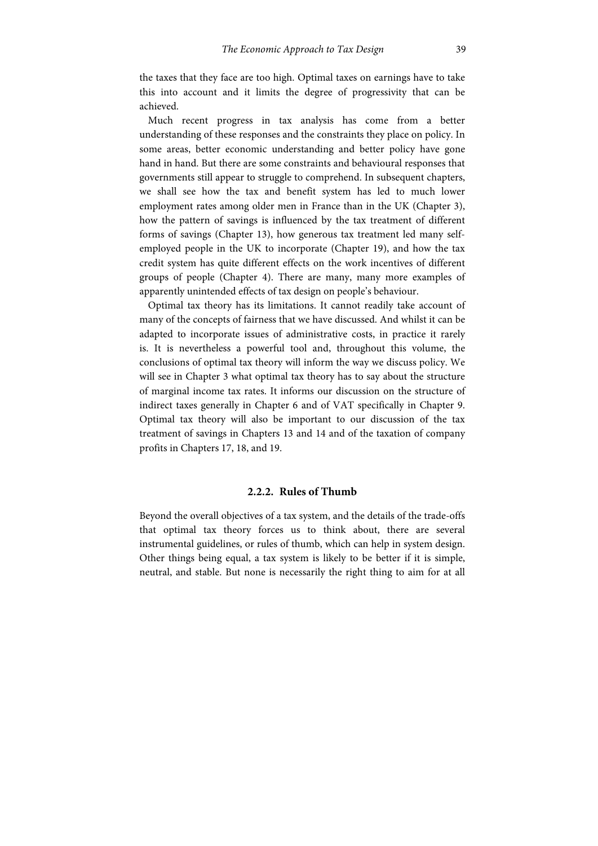the taxes that they face are too high. Optimal taxes on earnings have to take this into account and it limits the degree of progressivity that can be achieved.

Much recent progress in tax analysis has come from a better understanding of these responses and the constraints they place on policy. In some areas, better economic understanding and better policy have gone hand in hand. But there are some constraints and behavioural responses that governments still appear to struggle to comprehend. In subsequent chapters, we shall see how the tax and benefit system has led to much lower employment rates among older men in France than in the UK (Chapter 3), how the pattern of savings is influenced by the tax treatment of different forms of savings (Chapter 13), how generous tax treatment led many selfemployed people in the UK to incorporate (Chapter 19), and how the tax credit system has quite different effects on the work incentives of different groups of people (Chapter 4). There are many, many more examples of apparently unintended effects of tax design on people's behaviour.

Optimal tax theory has its limitations. It cannot readily take account of many of the concepts of fairness that we have discussed. And whilst it can be adapted to incorporate issues of administrative costs, in practice it rarely is. It is nevertheless a powerful tool and, throughout this volume, the conclusions of optimal tax theory will inform the way we discuss policy. We will see in Chapter 3 what optimal tax theory has to say about the structure of marginal income tax rates. It informs our discussion on the structure of indirect taxes generally in Chapter 6 and of VAT specifically in Chapter 9. Optimal tax theory will also be important to our discussion of the tax treatment of savings in Chapters 13 and 14 and of the taxation of company profits in Chapters 17, 18, and 19.

# **2.2.2. Rules of Thumb**

Beyond the overall objectives of a tax system, and the details of the trade-offs that optimal tax theory forces us to think about, there are several instrumental guidelines, or rules of thumb, which can help in system design. Other things being equal, a tax system is likely to be better if it is simple, neutral, and stable. But none is necessarily the right thing to aim for at all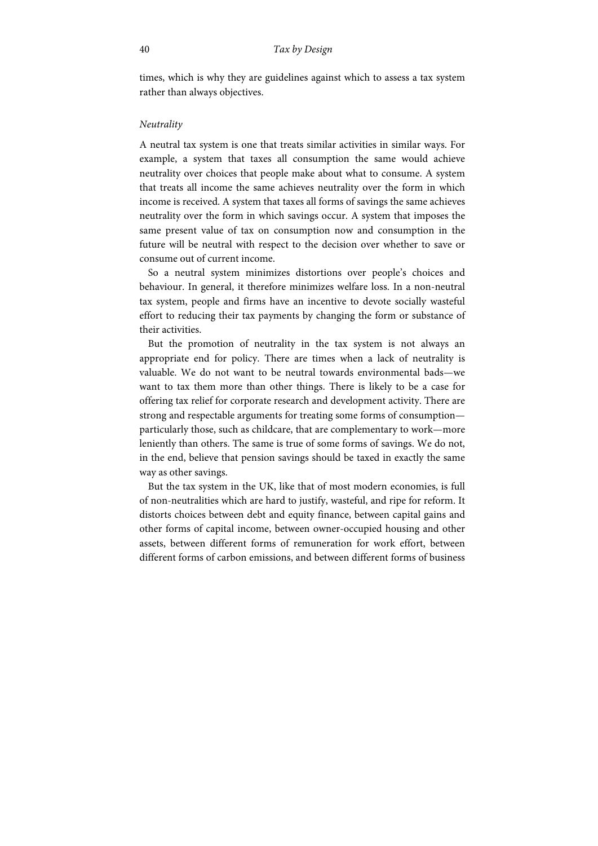times, which is why they are guidelines against which to assess a tax system rather than always objectives.

#### Neutrality

A neutral tax system is one that treats similar activities in similar ways. For example, a system that taxes all consumption the same would achieve neutrality over choices that people make about what to consume. A system that treats all income the same achieves neutrality over the form in which income is received. A system that taxes all forms of savings the same achieves neutrality over the form in which savings occur. A system that imposes the same present value of tax on consumption now and consumption in the future will be neutral with respect to the decision over whether to save or consume out of current income.

So a neutral system minimizes distortions over people's choices and behaviour. In general, it therefore minimizes welfare loss. In a non-neutral tax system, people and firms have an incentive to devote socially wasteful effort to reducing their tax payments by changing the form or substance of their activities.

But the promotion of neutrality in the tax system is not always an appropriate end for policy. There are times when a lack of neutrality is valuable. We do not want to be neutral towards environmental bads—we want to tax them more than other things. There is likely to be a case for offering tax relief for corporate research and development activity. There are strong and respectable arguments for treating some forms of consumption particularly those, such as childcare, that are complementary to work—more leniently than others. The same is true of some forms of savings. We do not, in the end, believe that pension savings should be taxed in exactly the same way as other savings.

But the tax system in the UK, like that of most modern economies, is full of non-neutralities which are hard to justify, wasteful, and ripe for reform. It distorts choices between debt and equity finance, between capital gains and other forms of capital income, between owner-occupied housing and other assets, between different forms of remuneration for work effort, between different forms of carbon emissions, and between different forms of business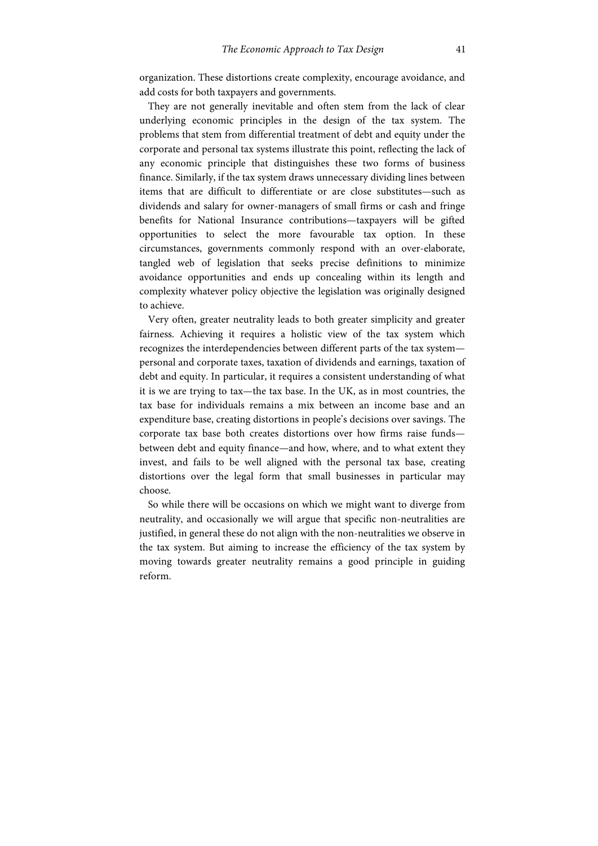organization. These distortions create complexity, encourage avoidance, and add costs for both taxpayers and governments.

They are not generally inevitable and often stem from the lack of clear underlying economic principles in the design of the tax system. The problems that stem from differential treatment of debt and equity under the corporate and personal tax systems illustrate this point, reflecting the lack of any economic principle that distinguishes these two forms of business finance. Similarly, if the tax system draws unnecessary dividing lines between items that are difficult to differentiate or are close substitutes—such as dividends and salary for owner-managers of small firms or cash and fringe benefits for National Insurance contributions—taxpayers will be gifted opportunities to select the more favourable tax option. In these circumstances, governments commonly respond with an over-elaborate, tangled web of legislation that seeks precise definitions to minimize avoidance opportunities and ends up concealing within its length and complexity whatever policy objective the legislation was originally designed to achieve.

Very often, greater neutrality leads to both greater simplicity and greater fairness. Achieving it requires a holistic view of the tax system which recognizes the interdependencies between different parts of the tax system personal and corporate taxes, taxation of dividends and earnings, taxation of debt and equity. In particular, it requires a consistent understanding of what it is we are trying to tax—the tax base. In the UK, as in most countries, the tax base for individuals remains a mix between an income base and an expenditure base, creating distortions in people's decisions over savings. The corporate tax base both creates distortions over how firms raise funds between debt and equity finance—and how, where, and to what extent they invest, and fails to be well aligned with the personal tax base, creating distortions over the legal form that small businesses in particular may choose.

So while there will be occasions on which we might want to diverge from neutrality, and occasionally we will argue that specific non-neutralities are justified, in general these do not align with the non-neutralities we observe in the tax system. But aiming to increase the efficiency of the tax system by moving towards greater neutrality remains a good principle in guiding reform.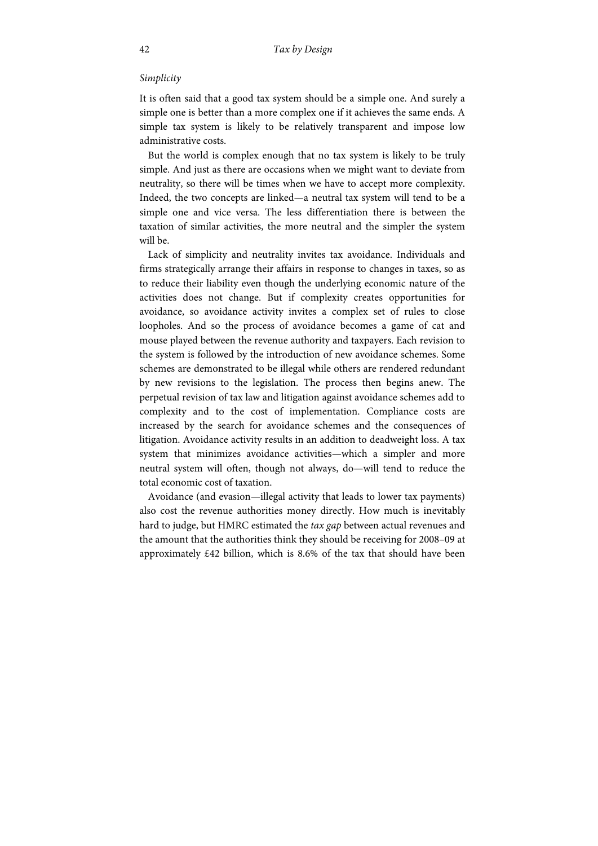## Simplicity

It is often said that a good tax system should be a simple one. And surely a simple one is better than a more complex one if it achieves the same ends. A simple tax system is likely to be relatively transparent and impose low administrative costs.

But the world is complex enough that no tax system is likely to be truly simple. And just as there are occasions when we might want to deviate from neutrality, so there will be times when we have to accept more complexity. Indeed, the two concepts are linked—a neutral tax system will tend to be a simple one and vice versa. The less differentiation there is between the taxation of similar activities, the more neutral and the simpler the system will be.

Lack of simplicity and neutrality invites tax avoidance. Individuals and firms strategically arrange their affairs in response to changes in taxes, so as to reduce their liability even though the underlying economic nature of the activities does not change. But if complexity creates opportunities for avoidance, so avoidance activity invites a complex set of rules to close loopholes. And so the process of avoidance becomes a game of cat and mouse played between the revenue authority and taxpayers. Each revision to the system is followed by the introduction of new avoidance schemes. Some schemes are demonstrated to be illegal while others are rendered redundant by new revisions to the legislation. The process then begins anew. The perpetual revision of tax law and litigation against avoidance schemes add to complexity and to the cost of implementation. Compliance costs are increased by the search for avoidance schemes and the consequences of litigation. Avoidance activity results in an addition to deadweight loss. A tax system that minimizes avoidance activities—which a simpler and more neutral system will often, though not always, do—will tend to reduce the total economic cost of taxation.

Avoidance (and evasion—illegal activity that leads to lower tax payments) also cost the revenue authorities money directly. How much is inevitably hard to judge, but HMRC estimated the tax gap between actual revenues and the amount that the authorities think they should be receiving for 2008–09 at approximately £42 billion, which is 8.6% of the tax that should have been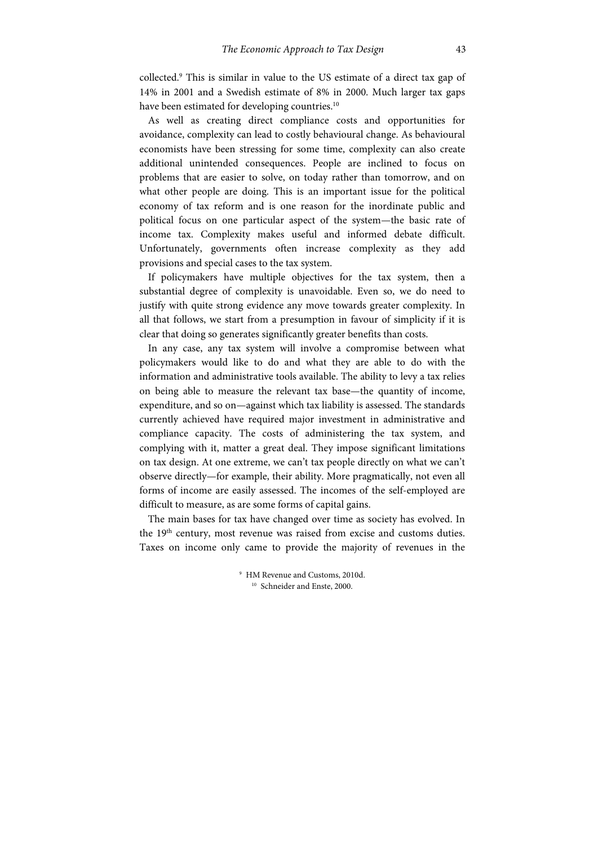collected.9 This is similar in value to the US estimate of a direct tax gap of 14% in 2001 and a Swedish estimate of 8% in 2000. Much larger tax gaps have been estimated for developing countries.<sup>10</sup>

As well as creating direct compliance costs and opportunities for avoidance, complexity can lead to costly behavioural change. As behavioural economists have been stressing for some time, complexity can also create additional unintended consequences. People are inclined to focus on problems that are easier to solve, on today rather than tomorrow, and on what other people are doing. This is an important issue for the political economy of tax reform and is one reason for the inordinate public and political focus on one particular aspect of the system—the basic rate of income tax. Complexity makes useful and informed debate difficult. Unfortunately, governments often increase complexity as they add provisions and special cases to the tax system.

If policymakers have multiple objectives for the tax system, then a substantial degree of complexity is unavoidable. Even so, we do need to justify with quite strong evidence any move towards greater complexity. In all that follows, we start from a presumption in favour of simplicity if it is clear that doing so generates significantly greater benefits than costs.

In any case, any tax system will involve a compromise between what policymakers would like to do and what they are able to do with the information and administrative tools available. The ability to levy a tax relies on being able to measure the relevant tax base—the quantity of income, expenditure, and so on—against which tax liability is assessed. The standards currently achieved have required major investment in administrative and compliance capacity. The costs of administering the tax system, and complying with it, matter a great deal. They impose significant limitations on tax design. At one extreme, we can't tax people directly on what we can't observe directly—for example, their ability. More pragmatically, not even all forms of income are easily assessed. The incomes of the self-employed are difficult to measure, as are some forms of capital gains.

The main bases for tax have changed over time as society has evolved. In the 19<sup>th</sup> century, most revenue was raised from excise and customs duties. Taxes on income only came to provide the majority of revenues in the

> <sup>9</sup> HM Revenue and Customs, 2010d. <sup>10</sup> Schneider and Enste, 2000.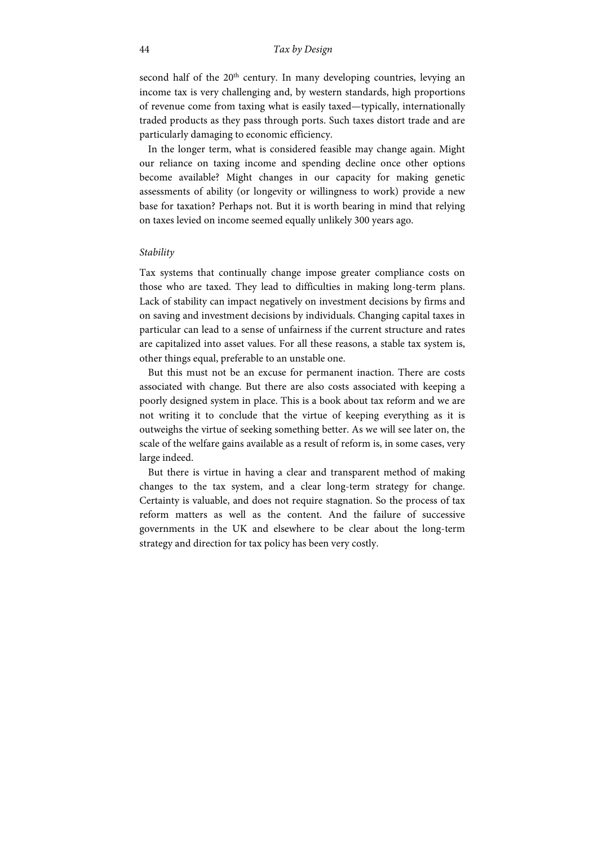second half of the 20<sup>th</sup> century. In many developing countries, levying an income tax is very challenging and, by western standards, high proportions of revenue come from taxing what is easily taxed—typically, internationally traded products as they pass through ports. Such taxes distort trade and are particularly damaging to economic efficiency.

In the longer term, what is considered feasible may change again. Might our reliance on taxing income and spending decline once other options become available? Might changes in our capacity for making genetic assessments of ability (or longevity or willingness to work) provide a new base for taxation? Perhaps not. But it is worth bearing in mind that relying on taxes levied on income seemed equally unlikely 300 years ago.

#### Stability

Tax systems that continually change impose greater compliance costs on those who are taxed. They lead to difficulties in making long-term plans. Lack of stability can impact negatively on investment decisions by firms and on saving and investment decisions by individuals. Changing capital taxes in particular can lead to a sense of unfairness if the current structure and rates are capitalized into asset values. For all these reasons, a stable tax system is, other things equal, preferable to an unstable one.

But this must not be an excuse for permanent inaction. There are costs associated with change. But there are also costs associated with keeping a poorly designed system in place. This is a book about tax reform and we are not writing it to conclude that the virtue of keeping everything as it is outweighs the virtue of seeking something better. As we will see later on, the scale of the welfare gains available as a result of reform is, in some cases, very large indeed.

But there is virtue in having a clear and transparent method of making changes to the tax system, and a clear long-term strategy for change. Certainty is valuable, and does not require stagnation. So the process of tax reform matters as well as the content. And the failure of successive governments in the UK and elsewhere to be clear about the long-term strategy and direction for tax policy has been very costly.